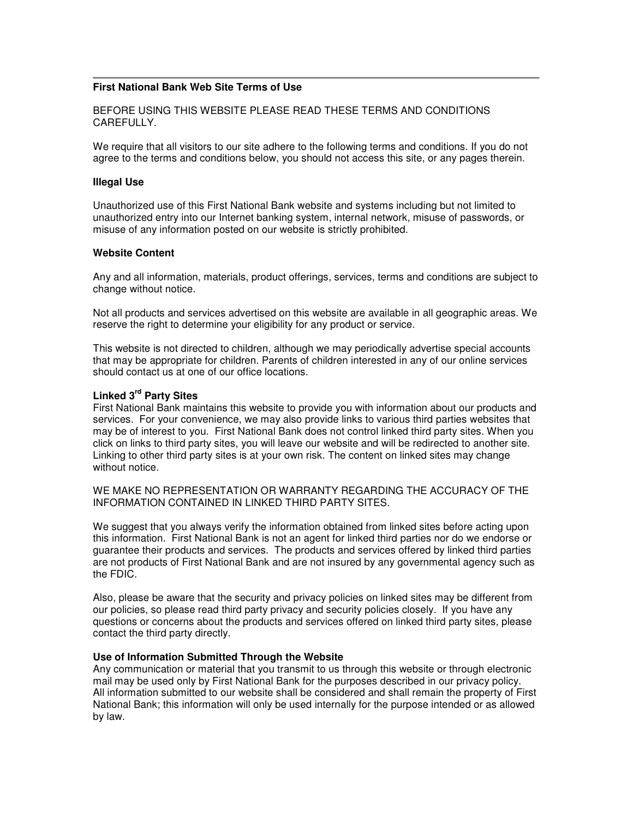## **First National Bank Web Site Terms of Use**

BEFORE USING THIS WEBSITE PLEASE READ THESE TERMS AND CONDITIONS CAREFULLY.

We require that all visitors to our site adhere to the following terms and conditions. If you do not agree to the terms and conditions below, you should not access this site, or any pages therein.

#### **Illegal Use**

Unauthorized use of this First National Bank website and systems including but not limited to unauthorized entry into our Internet banking system, internal network, misuse of passwords, or misuse of any information posted on our website is strictly prohibited.

### **Website Content**

Any and all information, materials, product offerings, services, terms and conditions are subject to change without notice.

Not all products and services advertised on this website are available in all geographic areas. We reserve the right to determine your eligibility for any product or service.

This website is not directed to children, although we may periodically advertise special accounts that may be appropriate for children. Parents of children interested in any of our online services should contact us at one of our office locations.

# **Linked 3rd Party Sites**

First National Bank maintains this website to provide you with information about our products and services. For your convenience, we may also provide links to various third parties websites that may be of interest to you. First National Bank does not control linked third party sites. When you click on links to third party sites, you will leave our website and will be redirected to another site. Linking to other third party sites is at your own risk. The content on linked sites may change without notice.

WE MAKE NO REPRESENTATION OR WARRANTY REGARDING THE ACCURACY OF THE INFORMATION CONTAINED IN LINKED THIRD PARTY SITES.

We suggest that you always verify the information obtained from linked sites before acting upon this information. First National Bank is not an agent for linked third parties nor do we endorse or guarantee their products and services. The products and services offered by linked third parties are not products of First National Bank and are not insured by any governmental agency such as the FDIC.

Also, please be aware that the security and privacy policies on linked sites may be different from our policies, so please read third party privacy and security policies closely. If you have any questions or concerns about the products and services offered on linked third party sites, please contact the third party directly.

### **Use of Information Submitted Through the Website**

Any communication or material that you transmit to us through this website or through electronic mail may be used only by First National Bank for the purposes described in our privacy policy. All information submitted to our website shall be considered and shall remain the property of First National Bank; this information will only be used internally for the purpose intended or as allowed by law.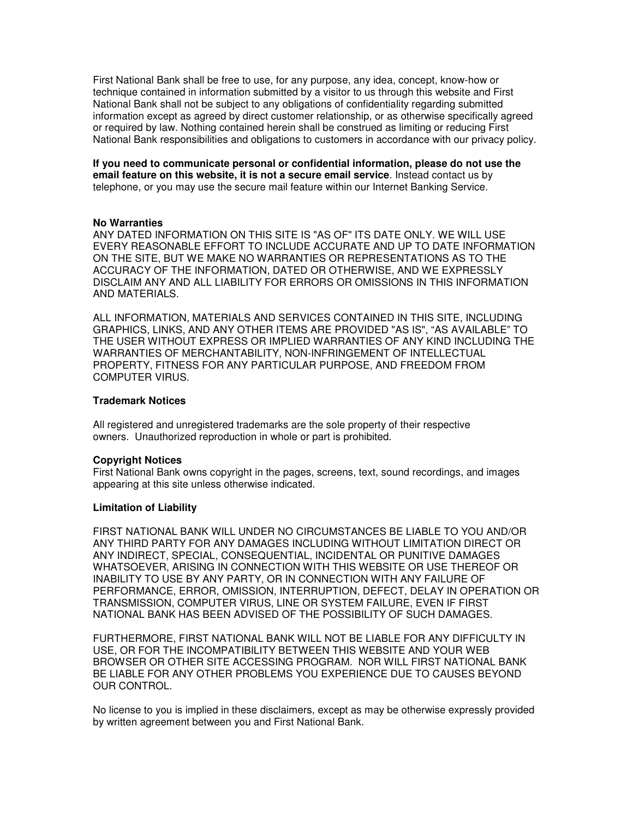First National Bank shall be free to use, for any purpose, any idea, concept, know-how or technique contained in information submitted by a visitor to us through this website and First National Bank shall not be subject to any obligations of confidentiality regarding submitted information except as agreed by direct customer relationship, or as otherwise specifically agreed or required by law. Nothing contained herein shall be construed as limiting or reducing First National Bank responsibilities and obligations to customers in accordance with our privacy policy.

**If you need to communicate personal or confidential information, please do not use the email feature on this website, it is not a secure email service**. Instead contact us by telephone, or you may use the secure mail feature within our Internet Banking Service.

### **No Warranties**

ANY DATED INFORMATION ON THIS SITE IS "AS OF" ITS DATE ONLY. WE WILL USE EVERY REASONABLE EFFORT TO INCLUDE ACCURATE AND UP TO DATE INFORMATION ON THE SITE, BUT WE MAKE NO WARRANTIES OR REPRESENTATIONS AS TO THE ACCURACY OF THE INFORMATION, DATED OR OTHERWISE, AND WE EXPRESSLY DISCLAIM ANY AND ALL LIABILITY FOR ERRORS OR OMISSIONS IN THIS INFORMATION AND MATERIALS.

ALL INFORMATION, MATERIALS AND SERVICES CONTAINED IN THIS SITE, INCLUDING GRAPHICS, LINKS, AND ANY OTHER ITEMS ARE PROVIDED "AS IS", "AS AVAILABLE" TO THE USER WITHOUT EXPRESS OR IMPLIED WARRANTIES OF ANY KIND INCLUDING THE WARRANTIES OF MERCHANTABILITY, NON-INFRINGEMENT OF INTELLECTUAL PROPERTY, FITNESS FOR ANY PARTICULAR PURPOSE, AND FREEDOM FROM COMPUTER VIRUS.

### **Trademark Notices**

All registered and unregistered trademarks are the sole property of their respective owners. Unauthorized reproduction in whole or part is prohibited.

### **Copyright Notices**

First National Bank owns copyright in the pages, screens, text, sound recordings, and images appearing at this site unless otherwise indicated.

### **Limitation of Liability**

FIRST NATIONAL BANK WILL UNDER NO CIRCUMSTANCES BE LIABLE TO YOU AND/OR ANY THIRD PARTY FOR ANY DAMAGES INCLUDING WITHOUT LIMITATION DIRECT OR ANY INDIRECT, SPECIAL, CONSEQUENTIAL, INCIDENTAL OR PUNITIVE DAMAGES WHATSOEVER, ARISING IN CONNECTION WITH THIS WEBSITE OR USE THEREOF OR INABILITY TO USE BY ANY PARTY, OR IN CONNECTION WITH ANY FAILURE OF PERFORMANCE, ERROR, OMISSION, INTERRUPTION, DEFECT, DELAY IN OPERATION OR TRANSMISSION, COMPUTER VIRUS, LINE OR SYSTEM FAILURE, EVEN IF FIRST NATIONAL BANK HAS BEEN ADVISED OF THE POSSIBILITY OF SUCH DAMAGES.

FURTHERMORE, FIRST NATIONAL BANK WILL NOT BE LIABLE FOR ANY DIFFICULTY IN USE, OR FOR THE INCOMPATIBILITY BETWEEN THIS WEBSITE AND YOUR WEB BROWSER OR OTHER SITE ACCESSING PROGRAM. NOR WILL FIRST NATIONAL BANK BE LIABLE FOR ANY OTHER PROBLEMS YOU EXPERIENCE DUE TO CAUSES BEYOND OUR CONTROL.

No license to you is implied in these disclaimers, except as may be otherwise expressly provided by written agreement between you and First National Bank.